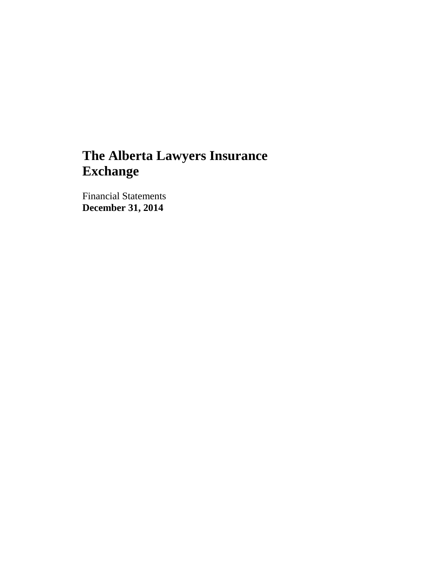Financial Statements **December 31, 2014**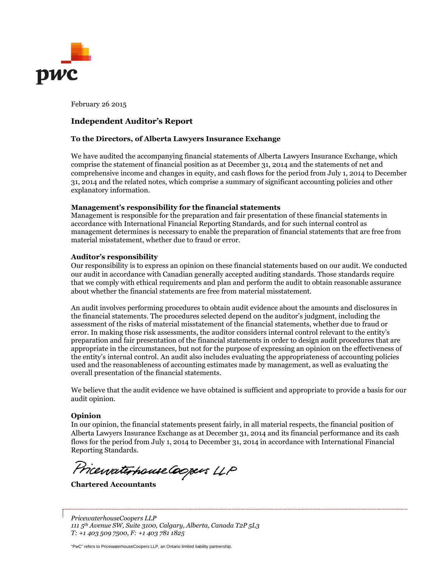

February 26 2015

# **Independent Auditor's Report**

#### **To the Directors, of Alberta Lawyers Insurance Exchange**

We have audited the accompanying financial statements of Alberta Lawyers Insurance Exchange, which comprise the statement of financial position as at December 31, 2014 and the statements of net and comprehensive income and changes in equity, and cash flows for the period from July 1, 2014 to December 31, 2014 and the related notes, which comprise a summary of significant accounting policies and other explanatory information.

#### **Management's responsibility for the financial statements**

Management is responsible for the preparation and fair presentation of these financial statements in accordance with International Financial Reporting Standards, and for such internal control as management determines is necessary to enable the preparation of financial statements that are free from material misstatement, whether due to fraud or error.

#### **Auditor's responsibility**

Our responsibility is to express an opinion on these financial statements based on our audit. We conducted our audit in accordance with Canadian generally accepted auditing standards. Those standards require that we comply with ethical requirements and plan and perform the audit to obtain reasonable assurance about whether the financial statements are free from material misstatement.

An audit involves performing procedures to obtain audit evidence about the amounts and disclosures in the financial statements. The procedures selected depend on the auditor's judgment, including the assessment of the risks of material misstatement of the financial statements, whether due to fraud or error. In making those risk assessments, the auditor considers internal control relevant to the entity's preparation and fair presentation of the financial statements in order to design audit procedures that are appropriate in the circumstances, but not for the purpose of expressing an opinion on the effectiveness of the entity's internal control. An audit also includes evaluating the appropriateness of accounting policies used and the reasonableness of accounting estimates made by management, as well as evaluating the overall presentation of the financial statements.

We believe that the audit evidence we have obtained is sufficient and appropriate to provide a basis for our audit opinion.

#### **Opinion**

In our opinion, the financial statements present fairly, in all material respects, the financial position of Alberta Lawyers Insurance Exchange as at December 31, 2014 and its financial performance and its cash flows for the period from July 1, 2014 to December 31, 2014 in accordance with International Financial Reporting Standards.

Pricewaterhouse Coopers LLP

**Chartered Accountants**

*PricewaterhouseCoopers LLP 111 5th Avenue SW, Suite 3100, Calgary, Alberta, Canada T2P 5L3 T: +1 403 509 7500, F: +1 403 781 1825*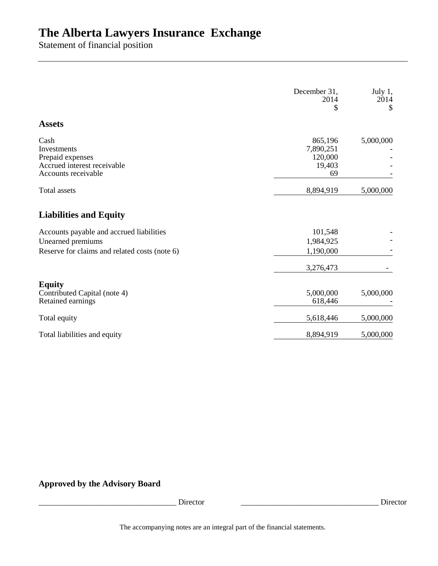Statement of financial position

|                                                                                                                | December 31,<br>2014<br>\$                      | July 1,<br>2014<br>\$ |
|----------------------------------------------------------------------------------------------------------------|-------------------------------------------------|-----------------------|
| <b>Assets</b>                                                                                                  |                                                 |                       |
| Cash<br>Investments<br>Prepaid expenses<br>Accrued interest receivable<br>Accounts receivable                  | 865,196<br>7,890,251<br>120,000<br>19,403<br>69 | 5,000,000             |
| <b>Total</b> assets                                                                                            | 8,894,919                                       | 5,000,000             |
| <b>Liabilities and Equity</b>                                                                                  |                                                 |                       |
| Accounts payable and accrued liabilities<br>Unearned premiums<br>Reserve for claims and related costs (note 6) | 101,548<br>1,984,925<br>1,190,000               |                       |
|                                                                                                                | 3,276,473                                       |                       |
| <b>Equity</b><br>Contributed Capital (note 4)<br>Retained earnings                                             | 5,000,000<br>618,446                            | 5,000,000             |
| Total equity                                                                                                   | 5,618,446                                       | 5,000,000             |
| Total liabilities and equity                                                                                   | 8,894,919                                       | 5,000,000             |

**Approved by the Advisory Board**

\_\_\_\_\_\_\_\_\_\_\_\_\_\_\_\_\_\_\_\_\_\_\_\_\_\_\_\_\_\_\_\_\_\_\_ Director \_\_\_\_\_\_\_\_\_\_\_\_\_\_\_\_\_\_\_\_\_\_\_\_\_\_\_\_\_\_\_\_\_\_\_ Director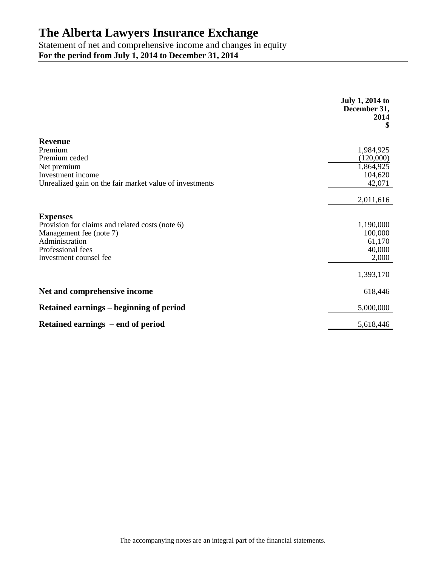Statement of net and comprehensive income and changes in equity **For the period from July 1, 2014 to December 31, 2014**

|                                                         | <b>July 1, 2014 to</b><br>December 31,<br>2014<br>\$ |
|---------------------------------------------------------|------------------------------------------------------|
| <b>Revenue</b>                                          |                                                      |
| Premium                                                 | 1,984,925                                            |
| Premium ceded                                           | (120,000)                                            |
| Net premium                                             | 1,864,925                                            |
| Investment income                                       | 104,620                                              |
| Unrealized gain on the fair market value of investments | 42,071                                               |
|                                                         | 2,011,616                                            |
| <b>Expenses</b>                                         |                                                      |
| Provision for claims and related costs (note 6)         | 1,190,000                                            |
| Management fee (note 7)                                 | 100,000                                              |
| Administration                                          | 61,170                                               |
| Professional fees                                       | 40,000                                               |
| Investment counsel fee                                  | 2,000                                                |
|                                                         | 1,393,170                                            |
| Net and comprehensive income                            | 618,446                                              |
| <b>Retained earnings – beginning of period</b>          | 5,000,000                                            |
| Retained earnings – end of period                       | 5,618,446                                            |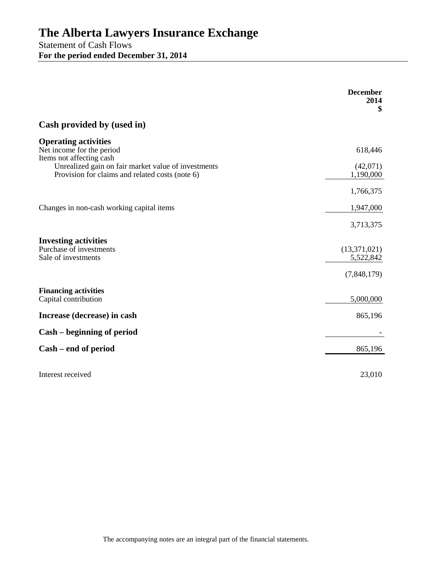Statement of Cash Flows **For the period ended December 31, 2014**

|                                                                                                        | <b>December</b><br>2014<br>\$ |
|--------------------------------------------------------------------------------------------------------|-------------------------------|
| Cash provided by (used in)                                                                             |                               |
| <b>Operating activities</b><br>Net income for the period<br>Items not affecting cash                   | 618,446                       |
| Unrealized gain on fair market value of investments<br>Provision for claims and related costs (note 6) | (42,071)<br>1,190,000         |
|                                                                                                        | 1,766,375                     |
| Changes in non-cash working capital items                                                              | 1,947,000                     |
|                                                                                                        | 3,713,375                     |
| <b>Investing activities</b><br>Purchase of investments<br>Sale of investments                          | (13,371,021)<br>5,522,842     |
|                                                                                                        | (7,848,179)                   |
| <b>Financing activities</b><br>Capital contribution                                                    | 5,000,000                     |
| Increase (decrease) in cash                                                                            | 865,196                       |
| Cash – beginning of period                                                                             |                               |
| Cash – end of period                                                                                   | 865,196                       |
| Interest received                                                                                      | 23,010                        |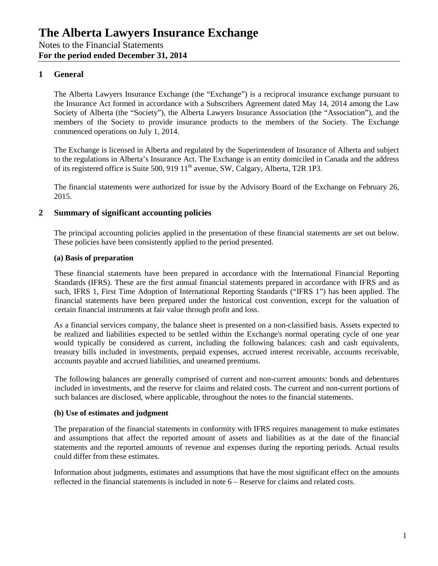# **1 General**

The Alberta Lawyers Insurance Exchange (the "Exchange") is a reciprocal insurance exchange pursuant to the Insurance Act formed in accordance with a Subscribers Agreement dated May 14, 2014 among the Law Society of Alberta (the "Society"), the Alberta Lawyers Insurance Association (the "Association"), and the members of the Society to provide insurance products to the members of the Society. The Exchange commenced operations on July 1, 2014.

The Exchange is licensed in Alberta and regulated by the Superintendent of Insurance of Alberta and subject to the regulations in Alberta's Insurance Act. The Exchange is an entity domiciled in Canada and the address of its registered office is Suite 500, 919  $11<sup>th</sup>$  avenue, SW, Calgary, Alberta, T2R 1P3.

The financial statements were authorized for issue by the Advisory Board of the Exchange on February 26, 2015.

#### **2 Summary of significant accounting policies**

The principal accounting policies applied in the presentation of these financial statements are set out below. These policies have been consistently applied to the period presented.

#### **(a) Basis of preparation**

These financial statements have been prepared in accordance with the International Financial Reporting Standards (IFRS). These are the first annual financial statements prepared in accordance with IFRS and as such, IFRS 1, First Time Adoption of International Reporting Standards ("IFRS 1") has been applied. The financial statements have been prepared under the historical cost convention, except for the valuation of certain financial instruments at fair value through profit and loss.

As a financial services company, the balance sheet is presented on a non-classified basis. Assets expected to be realized and liabilities expected to be settled within the Exchange's normal operating cycle of one year would typically be considered as current, including the following balances: cash and cash equivalents, treasury bills included in investments, prepaid expenses, accrued interest receivable, accounts receivable, accounts payable and accrued liabilities, and unearned premiums.

The following balances are generally comprised of current and non-current amounts: bonds and debentures included in investments, and the reserve for claims and related costs. The current and non-current portions of such balances are disclosed, where applicable, throughout the notes to the financial statements.

#### **(b) Use of estimates and judgment**

The preparation of the financial statements in conformity with IFRS requires management to make estimates and assumptions that affect the reported amount of assets and liabilities as at the date of the financial statements and the reported amounts of revenue and expenses during the reporting periods. Actual results could differ from these estimates.

Information about judgments, estimates and assumptions that have the most significant effect on the amounts reflected in the financial statements is included in note 6 – Reserve for claims and related costs.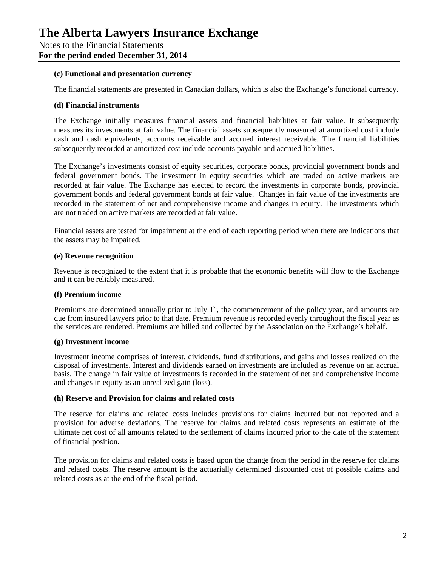#### **(c) Functional and presentation currency**

The financial statements are presented in Canadian dollars, which is also the Exchange's functional currency.

#### **(d) Financial instruments**

The Exchange initially measures financial assets and financial liabilities at fair value. It subsequently measures its investments at fair value. The financial assets subsequently measured at amortized cost include cash and cash equivalents, accounts receivable and accrued interest receivable. The financial liabilities subsequently recorded at amortized cost include accounts payable and accrued liabilities.

The Exchange's investments consist of equity securities, corporate bonds, provincial government bonds and federal government bonds. The investment in equity securities which are traded on active markets are recorded at fair value. The Exchange has elected to record the investments in corporate bonds, provincial government bonds and federal government bonds at fair value. Changes in fair value of the investments are recorded in the statement of net and comprehensive income and changes in equity. The investments which are not traded on active markets are recorded at fair value.

Financial assets are tested for impairment at the end of each reporting period when there are indications that the assets may be impaired.

#### **(e) Revenue recognition**

Revenue is recognized to the extent that it is probable that the economic benefits will flow to the Exchange and it can be reliably measured.

# **(f) Premium income**

Premiums are determined annually prior to July  $1<sup>st</sup>$ , the commencement of the policy year, and amounts are due from insured lawyers prior to that date. Premium revenue is recorded evenly throughout the fiscal year as the services are rendered. Premiums are billed and collected by the Association on the Exchange's behalf.

# **(g) Investment income**

Investment income comprises of interest, dividends, fund distributions, and gains and losses realized on the disposal of investments. Interest and dividends earned on investments are included as revenue on an accrual basis. The change in fair value of investments is recorded in the statement of net and comprehensive income and changes in equity as an unrealized gain (loss).

#### **(h) Reserve and Provision for claims and related costs**

The reserve for claims and related costs includes provisions for claims incurred but not reported and a provision for adverse deviations. The reserve for claims and related costs represents an estimate of the ultimate net cost of all amounts related to the settlement of claims incurred prior to the date of the statement of financial position.

The provision for claims and related costs is based upon the change from the period in the reserve for claims and related costs. The reserve amount is the actuarially determined discounted cost of possible claims and related costs as at the end of the fiscal period.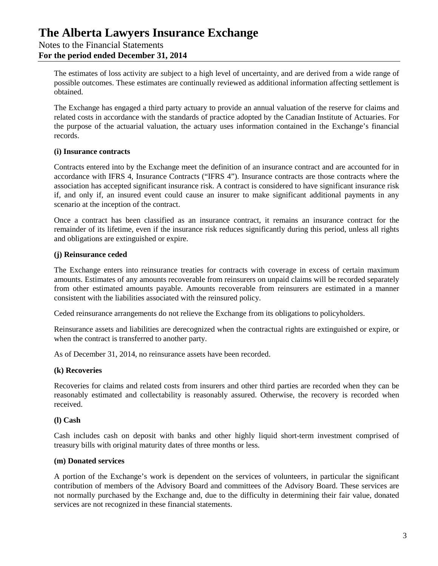# **The Alberta Lawyers Insurance Exchange** Notes to the Financial Statements **For the period ended December 31, 2014**

The estimates of loss activity are subject to a high level of uncertainty, and are derived from a wide range of possible outcomes. These estimates are continually reviewed as additional information affecting settlement is obtained.

The Exchange has engaged a third party actuary to provide an annual valuation of the reserve for claims and related costs in accordance with the standards of practice adopted by the Canadian Institute of Actuaries. For the purpose of the actuarial valuation, the actuary uses information contained in the Exchange's financial records.

#### **(i) Insurance contracts**

Contracts entered into by the Exchange meet the definition of an insurance contract and are accounted for in accordance with IFRS 4, Insurance Contracts ("IFRS 4"). Insurance contracts are those contracts where the association has accepted significant insurance risk. A contract is considered to have significant insurance risk if, and only if, an insured event could cause an insurer to make significant additional payments in any scenario at the inception of the contract.

Once a contract has been classified as an insurance contract, it remains an insurance contract for the remainder of its lifetime, even if the insurance risk reduces significantly during this period, unless all rights and obligations are extinguished or expire.

#### **(j) Reinsurance ceded**

The Exchange enters into reinsurance treaties for contracts with coverage in excess of certain maximum amounts. Estimates of any amounts recoverable from reinsurers on unpaid claims will be recorded separately from other estimated amounts payable. Amounts recoverable from reinsurers are estimated in a manner consistent with the liabilities associated with the reinsured policy.

Ceded reinsurance arrangements do not relieve the Exchange from its obligations to policyholders.

Reinsurance assets and liabilities are derecognized when the contractual rights are extinguished or expire, or when the contract is transferred to another party.

As of December 31, 2014, no reinsurance assets have been recorded.

# **(k) Recoveries**

Recoveries for claims and related costs from insurers and other third parties are recorded when they can be reasonably estimated and collectability is reasonably assured. Otherwise, the recovery is recorded when received.

# **(l) Cash**

Cash includes cash on deposit with banks and other highly liquid short-term investment comprised of treasury bills with original maturity dates of three months or less.

#### **(m) Donated services**

A portion of the Exchange's work is dependent on the services of volunteers, in particular the significant contribution of members of the Advisory Board and committees of the Advisory Board. These services are not normally purchased by the Exchange and, due to the difficulty in determining their fair value, donated services are not recognized in these financial statements.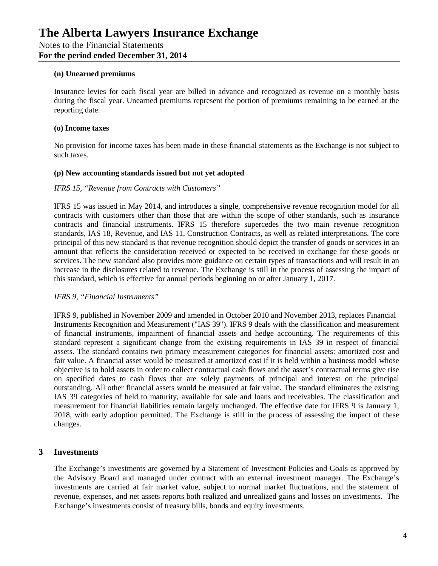#### **(n) Unearned premiums**

Insurance levies for each fiscal year are billed in advance and recognized as revenue on a monthly basis during the fiscal year. Unearned premiums represent the portion of premiums remaining to be earned at the reporting date.

#### **(o) Income taxes**

No provision for income taxes has been made in these financial statements as the Exchange is not subject to such taxes.

#### **(p) New accounting standards issued but not yet adopted**

#### *IFRS 15, "Revenue from Contracts with Customers"*

IFRS 15 was issued in May 2014, and introduces a single, comprehensive revenue recognition model for all contracts with customers other than those that are within the scope of other standards, such as insurance contracts and financial instruments. IFRS 15 therefore supercedes the two main revenue recognition standards, IAS 18, Revenue, and IAS 11, Construction Contracts, as well as related interpretations. The core principal of this new standard is that revenue recognition should depict the transfer of goods or services in an amount that reflects the consideration received or expected to be received in exchange for these goods or services. The new standard also provides more guidance on certain types of transactions and will result in an increase in the disclosures related to revenue. The Exchange is still in the process of assessing the impact of this standard, which is effective for annual periods beginning on or after January 1, 2017.

# *IFRS 9, "Financial Instruments"*

IFRS 9, published in November 2009 and amended in October 2010 and November 2013, replaces Financial Instruments Recognition and Measurement ("IAS 39"). IFRS 9 deals with the classification and measurement of financial instruments, impairment of financial assets and hedge accounting. The requirements of this standard represent a significant change from the existing requirements in IAS 39 in respect of financial assets. The standard contains two primary measurement categories for financial assets: amortized cost and fair value. A financial asset would be measured at amortized cost if it is held within a business model whose objective is to hold assets in order to collect contractual cash flows and the asset's contractual terms give rise on specified dates to cash flows that are solely payments of principal and interest on the principal outstanding. All other financial assets would be measured at fair value. The standard eliminates the existing IAS 39 categories of held to maturity, available for sale and loans and receivables. The classification and measurement for financial liabilities remain largely unchanged. The effective date for IFRS 9 is January 1, 2018, with early adoption permitted. The Exchange is still in the process of assessing the impact of these changes.

# **3 Investments**

The Exchange's investments are governed by a Statement of Investment Policies and Goals as approved by the Advisory Board and managed under contract with an external investment manager. The Exchange's investments are carried at fair market value, subject to normal market fluctuations, and the statement of revenue, expenses, and net assets reports both realized and unrealized gains and losses on investments. The Exchange's investments consist of treasury bills, bonds and equity investments.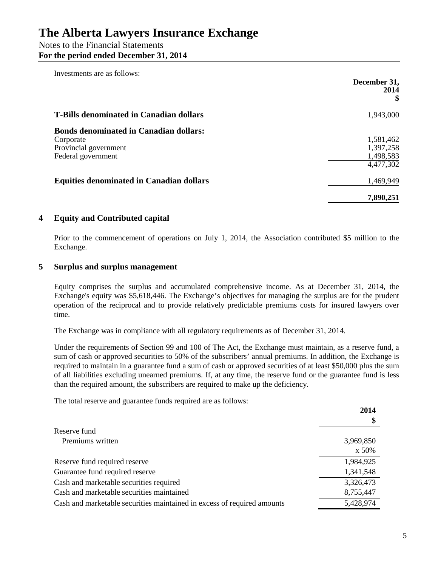# Notes to the Financial Statements **For the period ended December 31, 2014**

| Investments are as follows:                     | December 31,<br>2014 |
|-------------------------------------------------|----------------------|
| <b>T-Bills denominated in Canadian dollars</b>  | 1,943,000            |
| <b>Bonds denominated in Canadian dollars:</b>   |                      |
| Corporate                                       | 1,581,462            |
| Provincial government                           | 1,397,258            |
| Federal government                              | 1,498,583            |
|                                                 | 4,477,302            |
| <b>Equities denominated in Canadian dollars</b> | 1,469,949            |
|                                                 | 7,890,251            |

# **4 Equity and Contributed capital**

Prior to the commencement of operations on July 1, 2014, the Association contributed \$5 million to the Exchange.

# **5 Surplus and surplus management**

Equity comprises the surplus and accumulated comprehensive income. As at December 31, 2014, the Exchange's equity was \$5,618,446. The Exchange's objectives for managing the surplus are for the prudent operation of the reciprocal and to provide relatively predictable premiums costs for insured lawyers over time.

The Exchange was in compliance with all regulatory requirements as of December 31, 2014.

Under the requirements of Section 99 and 100 of The Act, the Exchange must maintain, as a reserve fund, a sum of cash or approved securities to 50% of the subscribers' annual premiums. In addition, the Exchange is required to maintain in a guarantee fund a sum of cash or approved securities of at least \$50,000 plus the sum of all liabilities excluding unearned premiums. If, at any time, the reserve fund or the guarantee fund is less than the required amount, the subscribers are required to make up the deficiency.

The total reserve and guarantee funds required are as follows:

|                                                                         | 2014      |
|-------------------------------------------------------------------------|-----------|
|                                                                         |           |
| Reserve fund                                                            |           |
| Premiums written                                                        | 3,969,850 |
|                                                                         | x 50%     |
| Reserve fund required reserve                                           | 1,984,925 |
| Guarantee fund required reserve                                         | 1,341,548 |
| Cash and marketable securities required                                 | 3,326,473 |
| Cash and marketable securities maintained                               | 8,755,447 |
| Cash and marketable securities maintained in excess of required amounts | 5,428,974 |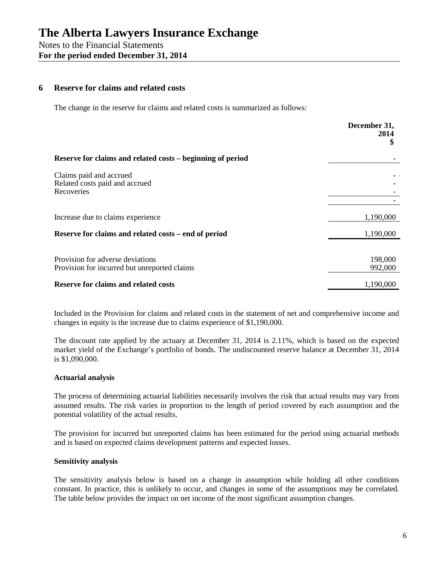#### **6 Reserve for claims and related costs**

The change in the reserve for claims and related costs is summarized as follows:

|                                                                                  | December 31,<br>2014<br>\$ |
|----------------------------------------------------------------------------------|----------------------------|
| Reserve for claims and related costs – beginning of period                       |                            |
| Claims paid and accrued<br>Related costs paid and accrued<br>Recoveries          |                            |
| Increase due to claims experience                                                | 1,190,000                  |
| Reserve for claims and related costs – end of period                             | 1,190,000                  |
| Provision for adverse deviations<br>Provision for incurred but unreported claims | 198,000<br>992,000         |
| <b>Reserve for claims and related costs</b>                                      | 1,190,000                  |

Included in the Provision for claims and related costs in the statement of net and comprehensive income and changes in equity is the increase due to claims experience of \$1,190,000.

The discount rate applied by the actuary at December 31, 2014 is 2.11%, which is based on the expected market yield of the Exchange's portfolio of bonds. The undiscounted reserve balance at December 31, 2014 is \$1,090,000.

#### **Actuarial analysis**

The process of determining actuarial liabilities necessarily involves the risk that actual results may vary from assumed results. The risk varies in proportion to the length of period covered by each assumption and the potential volatility of the actual results.

The provision for incurred but unreported claims has been estimated for the period using actuarial methods and is based on expected claims development patterns and expected losses.

#### **Sensitivity analysis**

The sensitivity analysis below is based on a change in assumption while holding all other conditions constant. In practice, this is unlikely to occur, and changes in some of the assumptions may be correlated. The table below provides the impact on net income of the most significant assumption changes.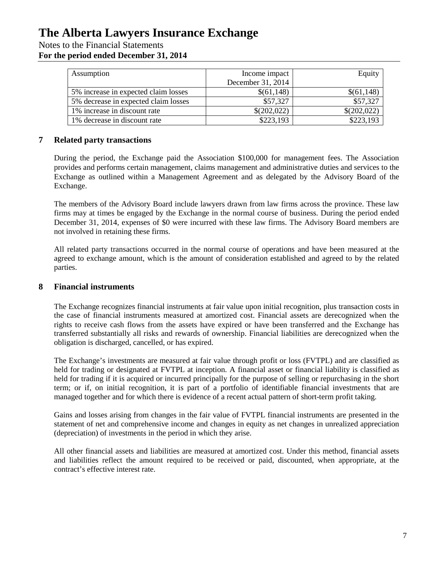Notes to the Financial Statements

**For the period ended December 31, 2014**

| Assumption                           | Income impact     | Equity      |
|--------------------------------------|-------------------|-------------|
|                                      | December 31, 2014 |             |
| 5% increase in expected claim losses | \$(61,148)        | \$(61,148)  |
| 5% decrease in expected claim losses | \$57,327          | \$57,327    |
| 1% increase in discount rate         | \$(202,022)       | \$(202,022) |
| 1% decrease in discount rate         | \$223,193         | \$223,193   |

# **7 Related party transactions**

During the period, the Exchange paid the Association \$100,000 for management fees. The Association provides and performs certain management, claims management and administrative duties and services to the Exchange as outlined within a Management Agreement and as delegated by the Advisory Board of the Exchange.

The members of the Advisory Board include lawyers drawn from law firms across the province. These law firms may at times be engaged by the Exchange in the normal course of business. During the period ended December 31, 2014, expenses of \$0 were incurred with these law firms. The Advisory Board members are not involved in retaining these firms.

All related party transactions occurred in the normal course of operations and have been measured at the agreed to exchange amount, which is the amount of consideration established and agreed to by the related parties.

# **8 Financial instruments**

The Exchange recognizes financial instruments at fair value upon initial recognition, plus transaction costs in the case of financial instruments measured at amortized cost. Financial assets are derecognized when the rights to receive cash flows from the assets have expired or have been transferred and the Exchange has transferred substantially all risks and rewards of ownership. Financial liabilities are derecognized when the obligation is discharged, cancelled, or has expired.

The Exchange's investments are measured at fair value through profit or loss (FVTPL) and are classified as held for trading or designated at FVTPL at inception. A financial asset or financial liability is classified as held for trading if it is acquired or incurred principally for the purpose of selling or repurchasing in the short term; or if, on initial recognition, it is part of a portfolio of identifiable financial investments that are managed together and for which there is evidence of a recent actual pattern of short-term profit taking.

Gains and losses arising from changes in the fair value of FVTPL financial instruments are presented in the statement of net and comprehensive income and changes in equity as net changes in unrealized appreciation (depreciation) of investments in the period in which they arise.

All other financial assets and liabilities are measured at amortized cost. Under this method, financial assets and liabilities reflect the amount required to be received or paid, discounted, when appropriate, at the contract's effective interest rate.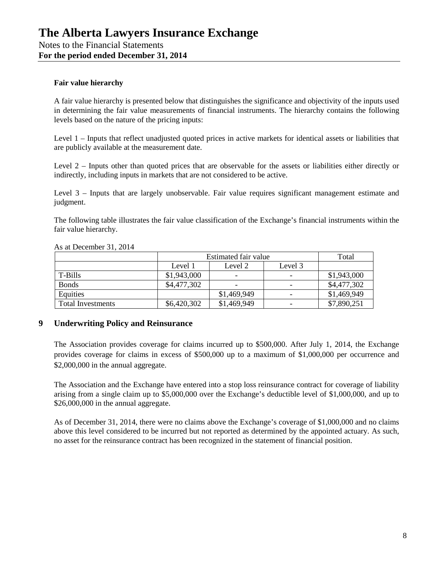# **Fair value hierarchy**

A fair value hierarchy is presented below that distinguishes the significance and objectivity of the inputs used in determining the fair value measurements of financial instruments. The hierarchy contains the following levels based on the nature of the pricing inputs:

Level 1 – Inputs that reflect unadjusted quoted prices in active markets for identical assets or liabilities that are publicly available at the measurement date.

Level 2 – Inputs other than quoted prices that are observable for the assets or liabilities either directly or indirectly, including inputs in markets that are not considered to be active.

Level 3 – Inputs that are largely unobservable. Fair value requires significant management estimate and judgment.

The following table illustrates the fair value classification of the Exchange's financial instruments within the fair value hierarchy.

|                          | Estimated fair value |                          |                          | Total       |
|--------------------------|----------------------|--------------------------|--------------------------|-------------|
|                          | Level 1              | Level 2                  | Level 3                  |             |
| T-Bills                  | \$1,943,000          | $\overline{\phantom{0}}$ | $\overline{\phantom{0}}$ | \$1,943,000 |
| <b>Bonds</b>             | \$4,477,302          | $\overline{\phantom{0}}$ | $\overline{\phantom{0}}$ | \$4,477,302 |
| Equities                 |                      | \$1,469,949              | $\overline{\phantom{0}}$ | \$1,469,949 |
| <b>Total Investments</b> | \$6,420,302          | \$1,469,949              | $\overline{\phantom{a}}$ | \$7,890,251 |

As at December 31, 2014

# **9 Underwriting Policy and Reinsurance**

The Association provides coverage for claims incurred up to \$500,000. After July 1, 2014, the Exchange provides coverage for claims in excess of \$500,000 up to a maximum of \$1,000,000 per occurrence and \$2,000,000 in the annual aggregate.

The Association and the Exchange have entered into a stop loss reinsurance contract for coverage of liability arising from a single claim up to \$5,000,000 over the Exchange's deductible level of \$1,000,000, and up to \$26,000,000 in the annual aggregate.

As of December 31, 2014, there were no claims above the Exchange's coverage of \$1,000,000 and no claims above this level considered to be incurred but not reported as determined by the appointed actuary. As such, no asset for the reinsurance contract has been recognized in the statement of financial position.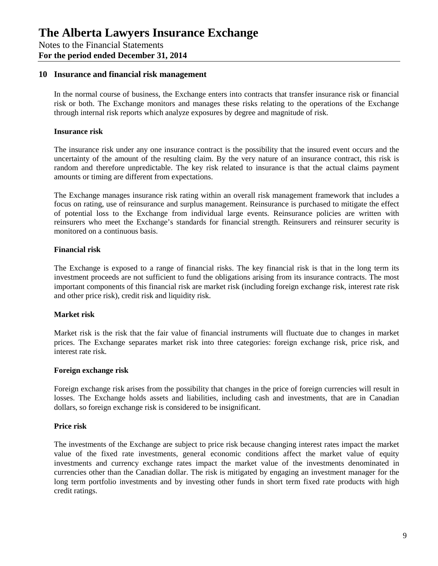#### **10 Insurance and financial risk management**

In the normal course of business, the Exchange enters into contracts that transfer insurance risk or financial risk or both. The Exchange monitors and manages these risks relating to the operations of the Exchange through internal risk reports which analyze exposures by degree and magnitude of risk.

#### **Insurance risk**

The insurance risk under any one insurance contract is the possibility that the insured event occurs and the uncertainty of the amount of the resulting claim. By the very nature of an insurance contract, this risk is random and therefore unpredictable. The key risk related to insurance is that the actual claims payment amounts or timing are different from expectations.

The Exchange manages insurance risk rating within an overall risk management framework that includes a focus on rating, use of reinsurance and surplus management. Reinsurance is purchased to mitigate the effect of potential loss to the Exchange from individual large events. Reinsurance policies are written with reinsurers who meet the Exchange's standards for financial strength. Reinsurers and reinsurer security is monitored on a continuous basis.

#### **Financial risk**

The Exchange is exposed to a range of financial risks. The key financial risk is that in the long term its investment proceeds are not sufficient to fund the obligations arising from its insurance contracts. The most important components of this financial risk are market risk (including foreign exchange risk, interest rate risk and other price risk), credit risk and liquidity risk.

#### **Market risk**

Market risk is the risk that the fair value of financial instruments will fluctuate due to changes in market prices. The Exchange separates market risk into three categories: foreign exchange risk, price risk, and interest rate risk.

#### **Foreign exchange risk**

Foreign exchange risk arises from the possibility that changes in the price of foreign currencies will result in losses. The Exchange holds assets and liabilities, including cash and investments, that are in Canadian dollars, so foreign exchange risk is considered to be insignificant.

#### **Price risk**

The investments of the Exchange are subject to price risk because changing interest rates impact the market value of the fixed rate investments, general economic conditions affect the market value of equity investments and currency exchange rates impact the market value of the investments denominated in currencies other than the Canadian dollar. The risk is mitigated by engaging an investment manager for the long term portfolio investments and by investing other funds in short term fixed rate products with high credit ratings.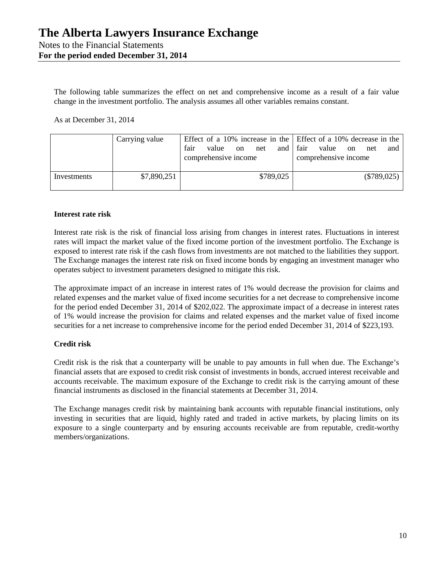The following table summarizes the effect on net and comprehensive income as a result of a fair value change in the investment portfolio. The analysis assumes all other variables remains constant.

As at December 31, 2014

|             | Carrying value | Effect of a 10% increase in the Effect of a 10% decrease in the $\vert$<br>fair<br>and fair<br>value on<br>net<br>comprehensive income | value<br>net<br>on<br>and 1<br>comprehensive income |
|-------------|----------------|----------------------------------------------------------------------------------------------------------------------------------------|-----------------------------------------------------|
| Investments | \$7,890,251    | \$789,025                                                                                                                              | $(\$789,025)$                                       |

#### **Interest rate risk**

Interest rate risk is the risk of financial loss arising from changes in interest rates. Fluctuations in interest rates will impact the market value of the fixed income portion of the investment portfolio. The Exchange is exposed to interest rate risk if the cash flows from investments are not matched to the liabilities they support. The Exchange manages the interest rate risk on fixed income bonds by engaging an investment manager who operates subject to investment parameters designed to mitigate this risk.

The approximate impact of an increase in interest rates of 1% would decrease the provision for claims and related expenses and the market value of fixed income securities for a net decrease to comprehensive income for the period ended December 31, 2014 of \$202,022. The approximate impact of a decrease in interest rates of 1% would increase the provision for claims and related expenses and the market value of fixed income securities for a net increase to comprehensive income for the period ended December 31, 2014 of \$223,193.

# **Credit risk**

Credit risk is the risk that a counterparty will be unable to pay amounts in full when due. The Exchange's financial assets that are exposed to credit risk consist of investments in bonds, accrued interest receivable and accounts receivable. The maximum exposure of the Exchange to credit risk is the carrying amount of these financial instruments as disclosed in the financial statements at December 31, 2014.

The Exchange manages credit risk by maintaining bank accounts with reputable financial institutions, only investing in securities that are liquid, highly rated and traded in active markets, by placing limits on its exposure to a single counterparty and by ensuring accounts receivable are from reputable, credit-worthy members/organizations.